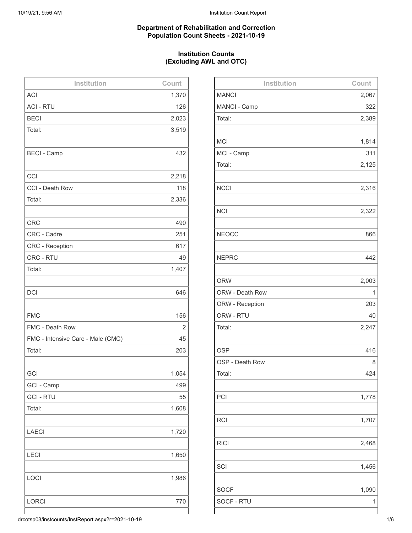## **Department of Rehabilitation and Correction Population Count Sheets - 2021-10-19**

## **Institution Counts (Excluding AWL and OTC)**

| Institution                       | Count |
|-----------------------------------|-------|
| <b>ACI</b>                        | 1,370 |
| <b>ACI - RTU</b>                  | 126   |
| <b>BECI</b>                       | 2,023 |
| Total:                            | 3,519 |
|                                   |       |
| <b>BECI - Camp</b>                | 432   |
|                                   |       |
| CCI                               | 2,218 |
| CCI - Death Row                   | 118   |
| Total:                            | 2,336 |
|                                   |       |
| <b>CRC</b>                        | 490   |
| CRC - Cadre                       | 251   |
| CRC - Reception                   | 617   |
| CRC - RTU                         | 49    |
| Total:                            | 1,407 |
|                                   |       |
| <b>DCI</b>                        | 646   |
|                                   |       |
| <b>FMC</b>                        | 156   |
| FMC - Death Row                   | 2     |
| FMC - Intensive Care - Male (CMC) | 45    |
| Total:                            | 203   |
|                                   |       |
| GCI                               | 1,054 |
| GCI - Camp                        | 499   |
| <b>GCI-RTU</b>                    | 55    |
| Total:                            | 1,608 |
|                                   |       |
| <b>LAECI</b>                      | 1,720 |
|                                   |       |
| <b>LECI</b>                       | 1,650 |
|                                   |       |
| LOCI                              | 1,986 |
|                                   |       |
| <b>LORCI</b>                      | 770   |
|                                   |       |

| Institution     | Count |
|-----------------|-------|
| <b>MANCI</b>    | 2,067 |
| MANCI - Camp    | 322   |
| Total:          | 2,389 |
|                 |       |
| <b>MCI</b>      | 1,814 |
| MCI - Camp      | 311   |
| Total:          | 2,125 |
|                 |       |
| <b>NCCI</b>     | 2,316 |
|                 |       |
| <b>NCI</b>      | 2,322 |
|                 |       |
| <b>NEOCC</b>    | 866   |
|                 |       |
| <b>NEPRC</b>    | 442   |
|                 |       |
| <b>ORW</b>      | 2,003 |
| ORW - Death Row | 1     |
| ORW - Reception | 203   |
| ORW - RTU       | 40    |
| Total:          | 2,247 |
|                 |       |
| <b>OSP</b>      | 416   |
| OSP - Death Row | 8     |
| Total:          | 424   |
|                 |       |
| PCI             | 1,778 |
|                 |       |
| <b>RCI</b>      | 1,707 |
|                 |       |
| <b>RICI</b>     | 2,468 |
|                 |       |
| SCI             | 1,456 |
|                 |       |
| <b>SOCF</b>     | 1,090 |
| SOCF - RTU      | 1     |
|                 |       |

drcotsp03/instcounts/InstReport.aspx?r=2021-10-19 1/6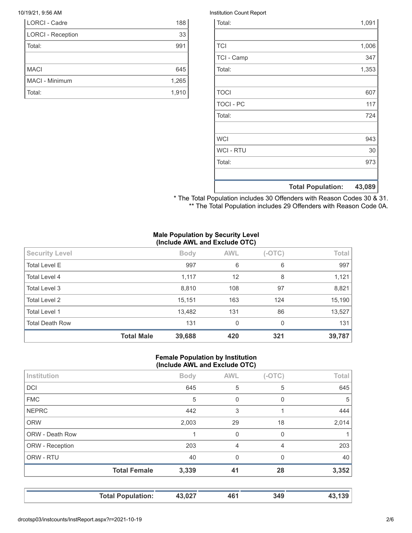| LORCI - Cadre            | 188   |
|--------------------------|-------|
| <b>LORCI - Reception</b> | 33    |
| Total:                   | 991   |
|                          |       |
| <b>MACI</b>              | 645   |
| MACI - Minimum           | 1,265 |
| Total:                   | 1.910 |

### 10/19/21, 9:56 AM Institution Count Report

|                  | <b>Total Population:</b> | 43,089 |
|------------------|--------------------------|--------|
|                  |                          |        |
| Total:           |                          | 973    |
| <b>WCI - RTU</b> |                          | 30     |
| <b>WCI</b>       |                          | 943    |
|                  |                          |        |
| Total:           |                          | 724    |
| <b>TOCI - PC</b> |                          | 117    |
| <b>TOCI</b>      |                          | 607    |
|                  |                          |        |
| Total:           |                          | 1,353  |
| TCI - Camp       |                          | 347    |
| <b>TCI</b>       |                          | 1,006  |
|                  |                          |        |
| Total:           |                          | 1,091  |

\* The Total Population includes 30 Offenders with Reason Codes 30 & 31. \*\* The Total Population includes 29 Offenders with Reason Code 0A.

## **Male Population by Security Level (Include AWL and Exclude OTC)**

| <b>Security Level</b>  |                   | <b>Body</b> | <b>AWL</b>   | $(-OTC)$ | Total  |
|------------------------|-------------------|-------------|--------------|----------|--------|
| <b>Total Level E</b>   |                   | 997         | 6            | 6        | 997    |
| Total Level 4          |                   | 1,117       | 12           | 8        | 1,121  |
| Total Level 3          |                   | 8,810       | 108          | 97       | 8,821  |
| <b>Total Level 2</b>   |                   | 15,151      | 163          | 124      | 15,190 |
| <b>Total Level 1</b>   |                   | 13,482      | 131          | 86       | 13,527 |
| <b>Total Death Row</b> |                   | 131         | $\mathbf{0}$ | $\Omega$ | 131    |
|                        | <b>Total Male</b> | 39,688      | 420          | 321      | 39,787 |

## **Female Population by Institution (Include AWL and Exclude OTC)**

|                 | <b>Total Female</b> | 3,339       | 41             | 28       | 3,352 |
|-----------------|---------------------|-------------|----------------|----------|-------|
| ORW - RTU       |                     | 40          | $\Omega$       | 0        | 40    |
| ORW - Reception |                     | 203         | $\overline{4}$ | 4        | 203   |
| ORW - Death Row |                     |             | $\Omega$       | 0        |       |
| <b>ORW</b>      |                     | 2,003       | 29             | 18       | 2,014 |
| <b>NEPRC</b>    |                     | 442         | 3              |          | 444   |
| <b>FMC</b>      |                     | 5           | $\Omega$       | 0        | 5     |
| <b>DCI</b>      |                     | 645         | 5              | 5        | 645   |
| Institution     |                     | <b>Body</b> | <b>AWL</b>     | $(-OTC)$ | Total |

**Total Population: 43,027 461 349 43,139**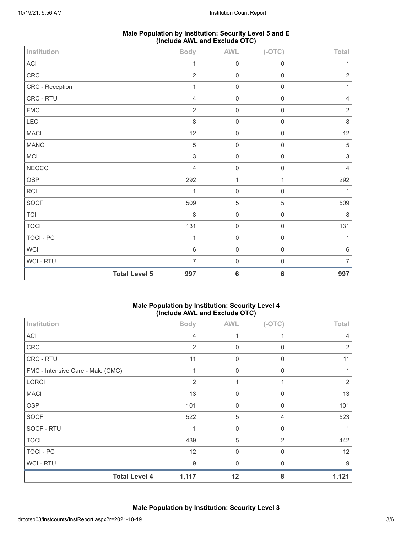| Male Population by Institution: Security Level 5 and E |  |
|--------------------------------------------------------|--|
| (Include AWL and Exclude OTC)                          |  |

| Institution                |                      | <b>Body</b>               | <b>AWL</b>          | $(-OTC)$            | Total          |
|----------------------------|----------------------|---------------------------|---------------------|---------------------|----------------|
| $\boldsymbol{\mathsf{AC}}$ |                      | 1                         | $\mathbf 0$         | $\mathsf 0$         | 1              |
| CRC                        |                      | $\sqrt{2}$                | $\mathsf 0$         | $\mathbf 0$         | $\sqrt{2}$     |
| CRC - Reception            |                      | 1                         | $\,0\,$             | $\mathsf{O}\xspace$ |                |
| CRC - RTU                  |                      | $\overline{4}$            | $\mathbf 0$         | $\mathbf 0$         | 4              |
| ${\sf FMC}$                |                      | $\overline{2}$            | $\mathsf 0$         | $\mathbf 0$         | $\sqrt{2}$     |
| LECI                       |                      | 8                         | $\,0\,$             | $\mathsf{O}\xspace$ | $\,8\,$        |
| <b>MACI</b>                |                      | 12                        | $\mathsf{O}\xspace$ | $\mathbf 0$         | 12             |
| <b>MANCI</b>               |                      | $\mathbf 5$               | $\mathsf 0$         | $\mathsf 0$         | $\mathbf 5$    |
| <b>MCI</b>                 |                      | $\ensuremath{\mathsf{3}}$ | $\,0\,$             | $\mathsf{O}\xspace$ | $\mathfrak{S}$ |
| <b>NEOCC</b>               |                      | $\overline{4}$            | $\mathbf 0$         | $\mathbf 0$         | $\overline{4}$ |
| OSP                        |                      | 292                       | 1                   | $\mathbf{1}$        | 292            |
| RCI                        |                      | 1                         | $\mathsf{O}\xspace$ | $\mathbf 0$         |                |
| SOCF                       |                      | 509                       | $\overline{5}$      | 5                   | 509            |
| TCI                        |                      | 8                         | $\mathsf 0$         | $\mathsf 0$         | $\,8\,$        |
| <b>TOCI</b>                |                      | 131                       | $\,0\,$             | $\mathsf{O}\xspace$ | 131            |
| TOCI - PC                  |                      | 1                         | $\mathbf 0$         | $\mathbf 0$         | 1              |
| WCI                        |                      | $\,6\,$                   | $\mathsf 0$         | $\mathbf 0$         | $\,6\,$        |
| WCI - RTU                  |                      | $\overline{7}$            | $\mathsf 0$         | $\mathsf{O}\xspace$ | 7              |
|                            | <b>Total Level 5</b> | 997                       | $\bf 6$             | $\bf 6$             | 997            |

## **Male Population by Institution: Security Level 4 (Include AWL and Exclude OTC)**

| Institution                       | ,<br><b>Body</b> | <b>AWL</b>  | $(-OTC)$       | Total          |
|-----------------------------------|------------------|-------------|----------------|----------------|
| <b>ACI</b>                        | 4                |             |                |                |
| <b>CRC</b>                        | $\overline{2}$   | $\mathbf 0$ | 0              | 2              |
| CRC - RTU                         | 11               | 0           | 0              | 11             |
| FMC - Intensive Care - Male (CMC) | 1                | $\mathbf 0$ | $\Omega$       |                |
| <b>LORCI</b>                      | 2                |             |                | $\overline{2}$ |
| <b>MACI</b>                       | 13               | $\Omega$    | $\Omega$       | 13             |
| <b>OSP</b>                        | 101              | $\mathbf 0$ | $\Omega$       | 101            |
| <b>SOCF</b>                       | 522              | 5           | 4              | 523            |
| SOCF - RTU                        | 1                | $\mathbf 0$ | $\Omega$       |                |
| <b>TOCI</b>                       | 439              | 5           | $\overline{2}$ | 442            |
| TOCI - PC                         | 12               | $\mathbf 0$ | $\Omega$       | 12             |
| WCI - RTU                         | 9                | $\Omega$    | 0              | 9              |
| <b>Total Level 4</b>              | 1,117            | 12          | 8              | 1,121          |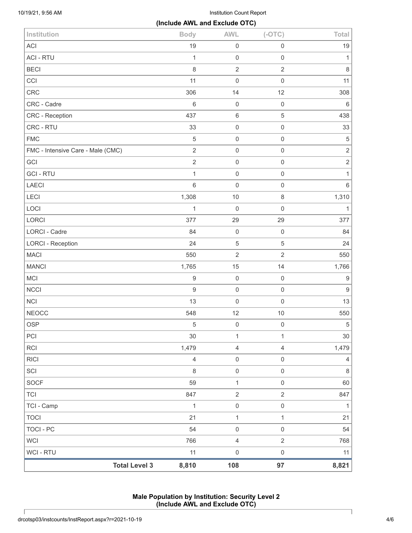10/19/21, 9:56 AM Institution Count Report

|                                   | (Include AWL and Exclude OTC) |                     |                     |                  |
|-----------------------------------|-------------------------------|---------------------|---------------------|------------------|
| Institution                       | <b>Body</b>                   | <b>AWL</b>          | $(-OTC)$            | Total            |
| ACI                               | 19                            | $\mathsf{O}\xspace$ | $\mathbf 0$         | 19               |
| <b>ACI - RTU</b>                  | $\mathbf{1}$                  | $\mathsf{O}\xspace$ | $\mathbf 0$         | $\mathbf{1}$     |
| <b>BECI</b>                       | $\,8\,$                       | $\overline{2}$      | $\overline{2}$      | $\,8\,$          |
| CCI                               | 11                            | $\mathsf{O}\xspace$ | $\mathsf{O}\xspace$ | 11               |
| CRC                               | 306                           | 14                  | 12                  | 308              |
| CRC - Cadre                       | $\,6\,$                       | $\mathbf 0$         | $\mathsf{O}\xspace$ | $6\,$            |
| CRC - Reception                   | 437                           | $\,6\,$             | $\sqrt{5}$          | 438              |
| CRC - RTU                         | 33                            | $\mathsf{O}\xspace$ | $\mathsf{O}\xspace$ | 33               |
| <b>FMC</b>                        | $\sqrt{5}$                    | $\mathsf{O}\xspace$ | $\mathsf{O}\xspace$ | $\mathbf 5$      |
| FMC - Intensive Care - Male (CMC) | $\overline{2}$                | $\mathsf{O}\xspace$ | $\mathsf{O}\xspace$ | $\sqrt{2}$       |
| GCI                               | $\overline{2}$                | $\mathsf{O}\xspace$ | $\mathsf{O}\xspace$ | $\sqrt{2}$       |
| <b>GCI-RTU</b>                    | $\mathbf{1}$                  | $\mathsf{O}\xspace$ | $\mathsf{O}\xspace$ | $\mathbf{1}$     |
| LAECI                             | $\,6\,$                       | $\mathsf{O}\xspace$ | $\mathsf{O}\xspace$ | $\,6\,$          |
| LECI                              | 1,308                         | $10$                | $\,8\,$             | 1,310            |
| LOCI                              | $\mathbf{1}$                  | $\mathsf{O}\xspace$ | $\mathbf 0$         | $\mathbf{1}$     |
| LORCI                             | 377                           | 29                  | 29                  | 377              |
| LORCI - Cadre                     | 84                            | $\mathbf 0$         | $\mathbf 0$         | 84               |
| <b>LORCI - Reception</b>          | 24                            | $\mathbf 5$         | $\sqrt{5}$          | 24               |
| <b>MACI</b>                       | 550                           | $\overline{2}$      | $\overline{2}$      | 550              |
| <b>MANCI</b>                      | 1,765                         | 15                  | 14                  | 1,766            |
| <b>MCI</b>                        | $\boldsymbol{9}$              | $\mathsf{O}\xspace$ | $\mathbf 0$         | $\boldsymbol{9}$ |
| <b>NCCI</b>                       | $\boldsymbol{9}$              | $\mathbf 0$         | $\mathsf{O}\xspace$ | $\boldsymbol{9}$ |
| <b>NCI</b>                        | 13                            | $\mathsf 0$         | $\mathbf 0$         | 13               |
| <b>NEOCC</b>                      | 548                           | 12                  | $10$                | 550              |
| <b>OSP</b>                        | $\,$ 5 $\,$                   | $\mathsf{O}\xspace$ | $\mathsf 0$         | $\,$ 5 $\,$      |
| PCI                               | 30                            | $\mathbf{1}$        | $\mathbf{1}$        | 30               |
| <b>RCI</b>                        | 1,479                         | $\overline{4}$      | $\sqrt{4}$          | 1,479            |
| <b>RICI</b>                       | $\overline{4}$                | $\mathsf 0$         | $\mathsf{O}\xspace$ | $\overline{4}$   |
| SCI                               | $\,8\,$                       | $\,0\,$             | $\mathsf{O}\xspace$ | $\,8\,$          |
| <b>SOCF</b>                       | 59                            | $\mathbf{1}$        | $\mathsf{O}\xspace$ | 60               |
| <b>TCI</b>                        | 847                           | $\sqrt{2}$          | $\overline{2}$      | 847              |
| TCI - Camp                        | $\mathbf{1}$                  | $\,0\,$             | $\,0\,$             | $\mathbf{1}$     |
| <b>TOCI</b>                       | 21                            | $\mathbf{1}$        | $\mathbf{1}$        | 21               |
| <b>TOCI - PC</b>                  | 54                            | $\mathsf 0$         | $\mathsf 0$         | 54               |
| <b>WCI</b>                        | 766                           | $\overline{4}$      | $\overline{2}$      | 768              |
| <b>WCI - RTU</b>                  | 11                            | $\,0\,$             | $\mathsf 0$         | 11               |
| <b>Total Level 3</b>              | 8,810                         | 108                 | 97                  | 8,821            |

**Male Population by Institution: Security Level 2 (Include AWL and Exclude OTC)**

Г

 $\mathsf{l}$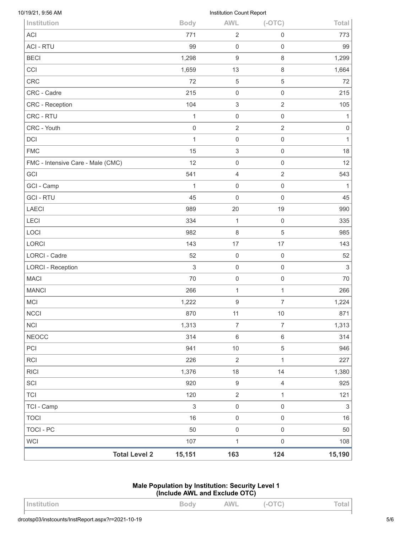| <b>Total Level 2</b>              | 15,151                    | 163                                    | 124                   | 15,190                    |
|-----------------------------------|---------------------------|----------------------------------------|-----------------------|---------------------------|
| WCI                               | 107                       | $\mathbf{1}$                           | $\mathsf 0$           | 108                       |
| <b>TOCI - PC</b>                  | 50                        | $\mathsf{O}\xspace$                    | $\,0\,$               | 50                        |
| <b>TOCI</b>                       | 16                        | $\mathsf 0$                            | $\mathsf 0$           | 16                        |
| TCI - Camp                        | $\ensuremath{\mathsf{3}}$ | $\mathsf{O}\xspace$                    | $\mathsf{O}\xspace$   | $\ensuremath{\mathsf{3}}$ |
| <b>TCI</b>                        | 120                       | $\overline{2}$                         | $\mathbf{1}$          | 121                       |
| SCI                               | 920                       | $\boldsymbol{9}$                       | $\overline{4}$        | 925                       |
| <b>RICI</b>                       | 1,376                     | 18                                     | 14                    | 1,380                     |
| RCI                               | 226                       | $\overline{2}$                         | $\mathbf{1}$          | 227                       |
| PCI                               | 941                       | $10$                                   | 5                     | 946                       |
| <b>NEOCC</b>                      | 314                       | $\,6\,$                                | $\,6\,$               | 314                       |
| <b>NCI</b>                        | 1,313                     | $\overline{7}$                         | $\overline{7}$        | 1,313                     |
| NCCI                              | 870                       | 11                                     | $10$                  | 871                       |
| <b>MCI</b>                        | 1,222                     | $\boldsymbol{9}$                       | $\boldsymbol{7}$      | 1,224                     |
| <b>MANCI</b>                      | 266                       | 1                                      | 1                     | 266                       |
| <b>MACI</b>                       | 70                        | 0                                      | $\mathsf{O}\xspace$   | 70                        |
| <b>LORCI - Reception</b>          | 3                         | 0                                      | $\mathsf{O}\xspace$   | $\sqrt{3}$                |
| LORCI - Cadre                     | 52                        | $\mathsf{O}\xspace$                    | $\mathsf{O}\xspace$   | 52                        |
| <b>LORCI</b>                      | 143                       | 17                                     | 17                    | 143                       |
| LOCI                              | 982                       | 8                                      | 5                     | 985                       |
| LECI                              | 334                       | 1                                      | $\boldsymbol{0}$      | 335                       |
| <b>LAECI</b>                      | 989                       | 20                                     | 19                    | 990                       |
| <b>GCI-RTU</b>                    | 45                        | 0                                      | $\boldsymbol{0}$      | 45                        |
| GCI - Camp                        | $\mathbf{1}$              | 0                                      | $\mathsf{O}\xspace$   | $\mathbf{1}$              |
| GCI                               | 541                       | 4                                      | $\overline{2}$        | 543                       |
| FMC - Intensive Care - Male (CMC) | 12                        | 0                                      | $\mathsf{O}\xspace$   | 12                        |
| <b>FMC</b>                        | 15                        | 3                                      | $\mathsf{O}\xspace$   | 18                        |
| <b>DCI</b>                        | $\mathbf{1}$              | 0                                      | $\mathsf{O}\xspace$   | $\mathbf{1}$              |
| CRC - Youth                       | $\mathsf{O}\xspace$       | $\overline{2}$                         | $\overline{2}$        | $\mathbf 0$               |
| CRC - RTU                         | 1                         | 0                                      | $\mathsf{O}\xspace$   | 1                         |
| CRC - Reception                   | 104                       | 3                                      | $\overline{2}$        | 105                       |
| CRC - Cadre                       | 215                       | 0                                      | $\mathsf{O}\xspace$   | 215                       |
| <b>CRC</b>                        | 72                        | 5                                      | 5                     | 72                        |
| CCI                               | 1,659                     | 13                                     | $\,8\,$               | 1,664                     |
| <b>BECI</b>                       | 1,298                     | 0<br>$\mathsf g$                       | $\boldsymbol{0}$<br>8 | 1,299                     |
| <b>ACI</b><br><b>ACI - RTU</b>    | 771<br>99                 | $\overline{2}$                         | 0                     | 773<br>99                 |
|                                   | <b>Body</b>               |                                        | $(-OTC)$              | Total                     |
| 10/19/21, 9:56 AM<br>Institution  |                           | Institution Count Report<br><b>AWL</b> |                       |                           |

# **Male Population by Institution: Security Level 1 (Include AWL and Exclude OTC)**

| Institution | Bodv | <b>AWL</b> | $L$ $\cap$ T $C$<br>$\sim$ | Total |
|-------------|------|------------|----------------------------|-------|
|             |      |            |                            |       |